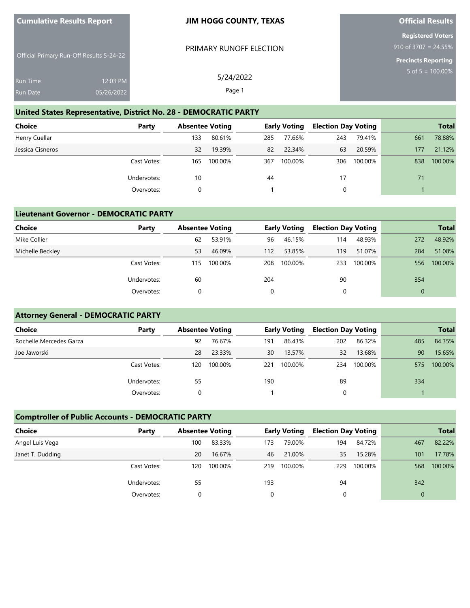| <b>Cumulative Results Report</b>                             | <b>JIM HOGG COUNTY, TEXAS</b> | <b>Official Results</b>                                                        |  |  |  |  |
|--------------------------------------------------------------|-------------------------------|--------------------------------------------------------------------------------|--|--|--|--|
| Official Primary Run-Off Results 5-24-22                     | PRIMARY RUNOFF ELECTION       | <b>Registered Voters</b><br>910 of 3707 = 24.55%<br><b>Precincts Reporting</b> |  |  |  |  |
| 12:03 PM<br><b>Run Time</b><br>05/26/2022<br><b>Run Date</b> | 5/24/2022<br>Page 1           | $5 \text{ of } 5 = 100.00\%$                                                   |  |  |  |  |

#### **United States Representative, District No. 28 - DEMOCRATIC PARTY**

| <b>Choice</b>    | Party       | <b>Absentee Voting</b> |         |     | <b>Early Voting</b> | <b>Election Day Voting</b> |         |     | <b>Total</b> |
|------------------|-------------|------------------------|---------|-----|---------------------|----------------------------|---------|-----|--------------|
| Henry Cuellar    |             | 133                    | 80.61%  | 285 | 77.66%              | 243                        | 79.41%  | 661 | 78.88%       |
| Jessica Cisneros |             | 32                     | 19.39%  | 82  | 22.34%              | 63                         | 20.59%  | 177 | 21.12%       |
|                  | Cast Votes: | 165                    | 100.00% | 367 | 100.00%             | 306                        | 100.00% | 838 | 100.00%      |
|                  | Undervotes: | 10                     |         | 44  |                     | 17                         |         | 71  |              |
|                  | Overvotes:  |                        |         |     |                     |                            |         |     |              |

### **Lieutenant Governor - DEMOCRATIC PARTY**

| <b>Choice</b>    | Party       | <b>Absentee Voting</b> |         | <b>Early Voting</b> |         | <b>Election Day Voting</b> |         |                | <b>Total</b> |
|------------------|-------------|------------------------|---------|---------------------|---------|----------------------------|---------|----------------|--------------|
| Mike Collier     |             | 62                     | 53.91%  | 96                  | 46.15%  | 114                        | 48.93%  | 272            | 48.92%       |
| Michelle Beckley |             | 53                     | 46.09%  | 112                 | 53.85%  | 119                        | 51.07%  | 284            | 51.08%       |
|                  | Cast Votes: | 115                    | 100.00% | 208                 | 100.00% | 233                        | 100.00% | 556            | 100.00%      |
|                  | Undervotes: | 60                     |         | 204                 |         | 90                         |         | 354            |              |
|                  | Overvotes:  | 0                      |         | 0                   |         | 0                          |         | $\overline{0}$ |              |

# **Attorney General - DEMOCRATIC PARTY**

| <b>Choice</b>           | Party       | <b>Absentee Voting</b> |         | <b>Early Voting</b> |         | <b>Election Day Voting</b> |         |     | <b>Total</b> |
|-------------------------|-------------|------------------------|---------|---------------------|---------|----------------------------|---------|-----|--------------|
| Rochelle Mercedes Garza |             | 92                     | 76.67%  | 191                 | 86.43%  | 202                        | 86.32%  | 485 | 84.35%       |
| Joe Jaworski            |             | 28                     | 23.33%  | 30                  | 13.57%  | 32                         | 13.68%  | 90  | 15.65%       |
|                         | Cast Votes: | 120                    | 100.00% | 221                 | 100.00% | 234                        | 100.00% | 575 | 100.00%      |
|                         | Undervotes: | 55                     |         | 190                 |         | 89                         |         | 334 |              |
|                         | Overvotes:  |                        |         |                     |         |                            |         |     |              |

## **Comptroller of Public Accounts - DEMOCRATIC PARTY**

| <b>Choice</b><br>Party |     | <b>Absentee Voting</b> |     | Early Voting |     | <b>Election Day Voting</b> |          | <b>Total</b> |
|------------------------|-----|------------------------|-----|--------------|-----|----------------------------|----------|--------------|
| Angel Luis Vega        | 100 | 83.33%                 | 173 | 79.00%       | 194 | 84.72%                     | 467      | 82.22%       |
| Janet T. Dudding       | 20  | 16.67%                 | 46  | 21.00%       | 35  | 15.28%                     | 101      | 17.78%       |
| Cast Votes:            | 120 | 100.00%                | 219 | 100.00%      | 229 | 100.00%                    | 568      | 100.00%      |
| Undervotes:            | 55  |                        | 193 |              | 94  |                            | 342      |              |
| Overvotes:             |     |                        |     |              |     |                            | $\Omega$ |              |